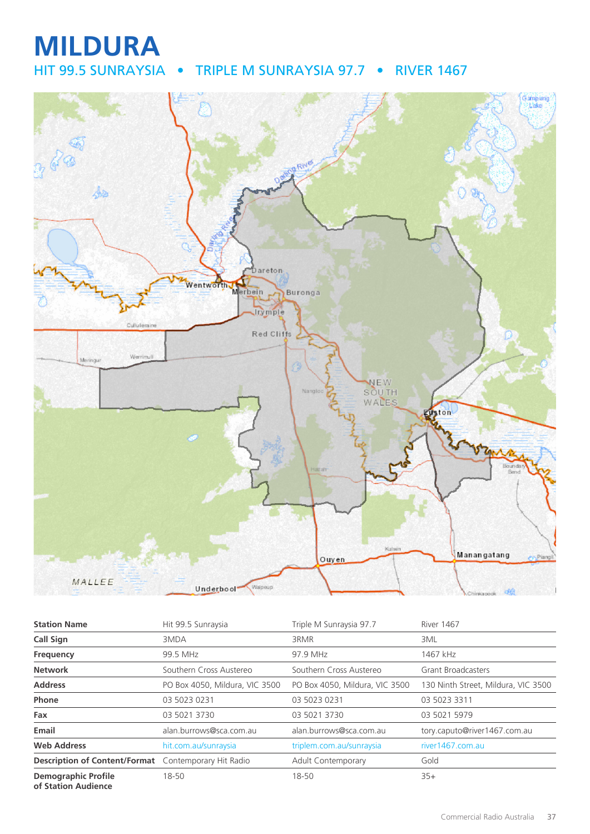## **MILDURA** HIT 99.5 SUNRAYSIA • TRIPLE M SUNRAYSIA 97.7 • RIVER 1467



| <b>Station Name</b>                                         | Hit 99.5 Sunraysia             | Triple M Sunraysia 97.7        | <b>River 1467</b>                   |
|-------------------------------------------------------------|--------------------------------|--------------------------------|-------------------------------------|
| Call Sign                                                   | 3MDA                           | 3RMR                           | 3ML                                 |
| Frequency                                                   | 99.5 MHz                       | 97.9 MHz                       | 1467 kHz                            |
| <b>Network</b>                                              | Southern Cross Austereo        | Southern Cross Austereo        | <b>Grant Broadcasters</b>           |
| <b>Address</b>                                              | PO Box 4050, Mildura, VIC 3500 | PO Box 4050, Mildura, VIC 3500 | 130 Ninth Street, Mildura, VIC 3500 |
| <b>Phone</b>                                                | 03 5023 0231                   | 03 5023 0231                   | 03 5023 3311                        |
| Fax                                                         | 03 5021 3730                   | 03 5021 3730                   | 03 5021 5979                        |
| Email                                                       | alan.burrows@sca.com.au        | alan.burrows@sca.com.au        | tory.caputo@river1467.com.au        |
| <b>Web Address</b>                                          | hit.com.au/sunraysia           | triplem.com.au/sunraysia       | river1467.com.au                    |
| <b>Description of Content/Format</b> Contemporary Hit Radio |                                | <b>Adult Contemporary</b>      | Gold                                |
| <b>Demographic Profile</b><br>of Station Audience           | 18-50                          | 18-50                          | $35+$                               |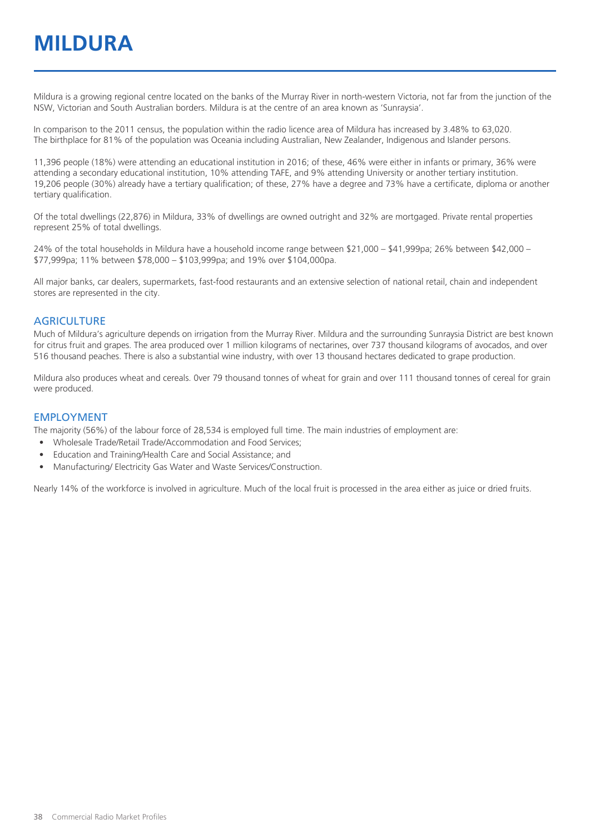# **MILDURA**

Mildura is a growing regional centre located on the banks of the Murray River in north-western Victoria, not far from the junction of the NSW, Victorian and South Australian borders. Mildura is at the centre of an area known as 'Sunraysia'.

In comparison to the 2011 census, the population within the radio licence area of Mildura has increased by 3.48% to 63,020. The birthplace for 81% of the population was Oceania including Australian, New Zealander, Indigenous and Islander persons.

11,396 people (18%) were attending an educational institution in 2016; of these, 46% were either in infants or primary, 36% were attending a secondary educational institution, 10% attending TAFE, and 9% attending University or another tertiary institution. 19,206 people (30%) already have a tertiary qualification; of these, 27% have a degree and 73% have a certificate, diploma or another tertiary qualification.

Of the total dwellings (22,876) in Mildura, 33% of dwellings are owned outright and 32% are mortgaged. Private rental properties represent 25% of total dwellings.

24% of the total households in Mildura have a household income range between \$21,000 – \$41,999pa; 26% between \$42,000 – \$77,999pa; 11% between \$78,000 – \$103,999pa; and 19% over \$104,000pa.

All major banks, car dealers, supermarkets, fast-food restaurants and an extensive selection of national retail, chain and independent stores are represented in the city.

#### **AGRICULTURE**

Much of Mildura's agriculture depends on irrigation from the Murray River. Mildura and the surrounding Sunraysia District are best known for citrus fruit and grapes. The area produced over 1 million kilograms of nectarines, over 737 thousand kilograms of avocados, and over 516 thousand peaches. There is also a substantial wine industry, with over 13 thousand hectares dedicated to grape production.

Mildura also produces wheat and cereals. 0ver 79 thousand tonnes of wheat for grain and over 111 thousand tonnes of cereal for grain were produced.

#### EMPLOYMENT

The majority (56%) of the labour force of 28,534 is employed full time. The main industries of employment are:

- Wholesale Trade/Retail Trade/Accommodation and Food Services;
- Education and Training/Health Care and Social Assistance; and
- Manufacturing/ Electricity Gas Water and Waste Services/Construction.

Nearly 14% of the workforce is involved in agriculture. Much of the local fruit is processed in the area either as juice or dried fruits.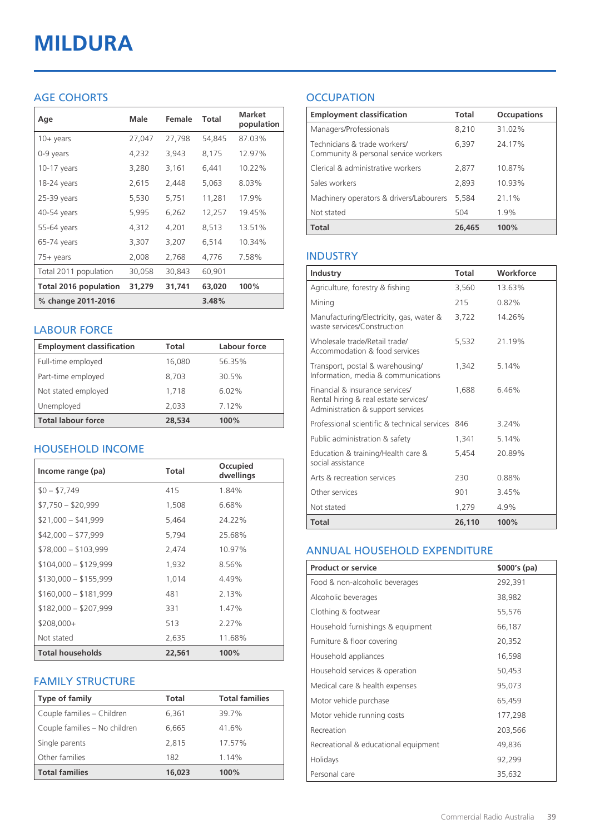# **MILDURA**

## AGE COHORTS

| Age                          | Male   | Female | Total  | <b>Market</b><br>population |
|------------------------------|--------|--------|--------|-----------------------------|
| $10 + \gamma$ ears           | 27,047 | 27,798 | 54,845 | 87.03%                      |
| 0-9 years                    | 4,232  | 3,943  | 8,175  | 12.97%                      |
| $10-17$ years                | 3,280  | 3,161  | 6,441  | 10.22%                      |
| 18-24 years                  | 2,615  | 2,448  | 5,063  | 8.03%                       |
| 25-39 years                  | 5,530  | 5,751  | 11,281 | 17.9%                       |
| 40-54 years                  | 5,995  | 6,262  | 12,257 | 19.45%                      |
| 55-64 years                  | 4,312  | 4,201  | 8,513  | 13.51%                      |
| 65-74 years                  | 3,307  | 3,207  | 6.514  | 10.34%                      |
| $75+$ years                  | 2,008  | 2,768  | 4,776  | 7.58%                       |
| Total 2011 population        | 30,058 | 30,843 | 60,901 |                             |
| <b>Total 2016 population</b> | 31,279 | 31,741 | 63,020 | 100%                        |
| % change 2011-2016           |        |        | 3.48%  |                             |

### LABOUR FORCE

| <b>Employment classification</b> | Total  | Labour force |
|----------------------------------|--------|--------------|
| Full-time employed               | 16,080 | 56.35%       |
| Part-time employed               | 8,703  | 30.5%        |
| Not stated employed              | 1.718  | 6.02%        |
| Unemployed                       | 2,033  | 7.12%        |
| <b>Total labour force</b>        | 28,534 | 100%         |

## HOUSEHOLD INCOME

| Income range (pa)       | Total  | Occupied<br>dwellings |
|-------------------------|--------|-----------------------|
| $$0 - $7,749$           | 415    | 1.84%                 |
| $$7,750 - $20,999$      | 1,508  | 6.68%                 |
| $$21,000 - $41,999$     | 5,464  | 24.22%                |
| $$42,000 - $77,999$     | 5,794  | 25.68%                |
| $$78,000 - $103,999$    | 2,474  | 10.97%                |
| $$104,000 - $129,999$   | 1,932  | 8.56%                 |
| $$130,000 - $155,999$   | 1,014  | 4.49%                 |
| $$160,000 - $181,999$   | 481    | 2.13%                 |
| $$182,000 - $207,999$   | 331    | 1.47%                 |
| $$208,000+$             | 513    | 2.27%                 |
| Not stated              | 2,635  | 11.68%                |
| <b>Total households</b> | 22,561 | 100%                  |

### FAMILY STRUCTURE

| <b>Type of family</b>         | <b>Total</b> | <b>Total families</b> |
|-------------------------------|--------------|-----------------------|
| Couple families - Children    | 6,361        | 39.7%                 |
| Couple families - No children | 6,665        | 41.6%                 |
| Single parents                | 2.815        | 17.57%                |
| Other families                | 182          | 1.14%                 |
| <b>Total families</b>         | 16,023       | 100%                  |

## **OCCUPATION**

| <b>Employment classification</b>                                     | Total  | <b>Occupations</b> |
|----------------------------------------------------------------------|--------|--------------------|
| Managers/Professionals                                               | 8,210  | 31.02%             |
| Technicians & trade workers/<br>Community & personal service workers | 6,397  | 24.17%             |
| Clerical & administrative workers                                    | 2,877  | 10.87%             |
| Sales workers                                                        | 2,893  | 10.93%             |
| Machinery operators & drivers/Labourers                              | 5.584  | 21.1%              |
| Not stated                                                           | 504    | 1.9%               |
| <b>Total</b>                                                         | 26,465 | 100%               |

## INDUSTRY

| Industry                                                                                                      | Total  | Workforce |
|---------------------------------------------------------------------------------------------------------------|--------|-----------|
| Agriculture, forestry & fishing                                                                               | 3,560  | 13.63%    |
| Mining                                                                                                        | 215    | 0.82%     |
| Manufacturing/Electricity, gas, water &<br>waste services/Construction                                        | 3,722  | 14.26%    |
| Wholesale trade/Retail trade/<br>Accommodation & food services                                                | 5.532  | 21.19%    |
| Transport, postal & warehousing/<br>Information, media & communications                                       | 1,342  | 5.14%     |
| Financial & insurance services/<br>Rental hiring & real estate services/<br>Administration & support services | 1.688  | 6.46%     |
| Professional scientific & technical services                                                                  | 846    | 3.24%     |
| Public administration & safety                                                                                | 1,341  | 5.14%     |
| Education & training/Health care &<br>social assistance                                                       | 5.454  | 20.89%    |
| Arts & recreation services                                                                                    | 230    | 0.88%     |
| Other services                                                                                                | 901    | 3.45%     |
| Not stated                                                                                                    | 1,279  | 4.9%      |
| Total                                                                                                         | 26,110 | 100%      |

### ANNUAL HOUSEHOLD EXPENDITURE

| <b>Product or service</b>            | $$000's$ (pa) |
|--------------------------------------|---------------|
| Food & non-alcoholic beverages       | 292,391       |
| Alcoholic beverages                  | 38,982        |
| Clothing & footwear                  | 55,576        |
| Household furnishings & equipment    | 66,187        |
| Furniture & floor covering           | 20,352        |
| Household appliances                 | 16,598        |
| Household services & operation       | 50,453        |
| Medical care & health expenses       | 95,073        |
| Motor vehicle purchase               | 65,459        |
| Motor vehicle running costs          | 177,298       |
| Recreation                           | 203,566       |
| Recreational & educational equipment | 49,836        |
| Holidays                             | 92,299        |
| Personal care                        | 35,632        |